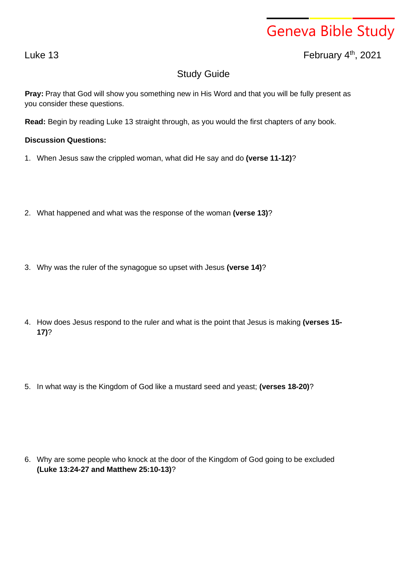## Geneva Bible Study

Luke 13  $\qquad \qquad$  February 4<sup>th</sup>, 2021

## Study Guide

**Pray:** Pray that God will show you something new in His Word and that you will be fully present as you consider these questions.

**Read:** Begin by reading Luke 13 straight through, as you would the first chapters of any book.

## **Discussion Questions:**

- 1. When Jesus saw the crippled woman, what did He say and do **(verse 11-12)**?
- 2. What happened and what was the response of the woman **(verse 13)**?
- 3. Why was the ruler of the synagogue so upset with Jesus **(verse 14)**?
- 4. How does Jesus respond to the ruler and what is the point that Jesus is making **(verses 15- 17)**?
- 5. In what way is the Kingdom of God like a mustard seed and yeast; **(verses 18-20)**?

6. Why are some people who knock at the door of the Kingdom of God going to be excluded **(Luke 13:24-27 and Matthew 25:10-13)**?